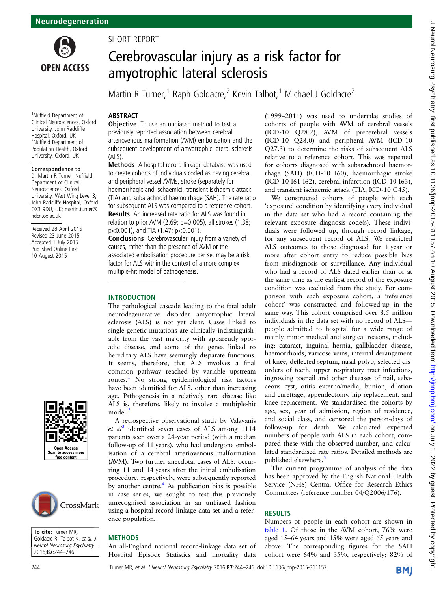

1 Nuffield Department of Clinical Neurosciences, Oxford University, John Radcliffe Hospital, Oxford, UK 2 Nuffield Department of Population Health, Oxford University, Oxford, UK

#### Correspondence to

Dr Martin R Turner, Nuffield Department of Clinical Neurosciences, Oxford University, West Wing Level 3, John Radcliffe Hospital, Oxford OX3 9DU, UK; martin.turner@ ndcn.ox.ac.uk

Received 28 April 2015 Revised 23 June 2015 Accepted 1 July 2015 Published Online First 10 August 2015





To cite: Turner MR, Goldacre R, Talbot K, et al. J<br>Neurol Neurosurg Psychiatry 2016;**87**:244–246.

## SHORT REPORT

# Cerebrovascular injury as a risk factor for amyotrophic lateral sclerosis

Martin R Turner,<sup>1</sup> Raph Goldacre,<sup>2</sup> Kevin Talbot,<sup>1</sup> Michael J Goldacre<sup>2</sup>

## ABSTRACT

**Objective** To use an unbiased method to test a previously reported association between cerebral arteriovenous malformation (AVM) embolisation and the subsequent development of amyotrophic lateral sclerosis (ALS).

Methods A hospital record linkage database was used to create cohorts of individuals coded as having cerebral and peripheral vessel AVMs, stroke (separately for haemorrhagic and ischaemic), transient ischaemic attack (TIA) and subarachnoid haemorrhage (SAH). The rate ratio for subsequent ALS was compared to a reference cohort. Results An increased rate ratio for ALS was found in

relation to prior AVM (2.69; p=0.005), all strokes (1.38; p<0.001), and TIA (1.47; p<0.001).

Conclusions Cerebrovascular injury from a variety of causes, rather than the presence of AVM or the associated embolisation procedure per se, may be a risk factor for ALS within the context of a more complex multiple-hit model of pathogenesis.

### INTRODUCTION

The pathological cascade leading to the fatal adult neurodegenerative disorder amyotrophic lateral sclerosis (ALS) is not yet clear. Cases linked to single genetic mutations are clinically indistinguishable from the vast majority with apparently sporadic disease, and some of the genes linked to hereditary ALS have seemingly disparate functions. It seems, therefore, that ALS involves a final common pathway reached by variable upstream routes.<sup>[1](#page-1-0)</sup> No strong epidemiological risk factors have been identified for ALS, other than increasing age. Pathogenesis in a relatively rare disease like ALS is, therefore, likely to involve a multiple-hit model.<sup>[2](#page-1-0)</sup>

A retrospective observational study by Valavanis et  $al^3$  $al^3$  identified seven cases of ALS among 1114 patients seen over a 24-year period (with a median follow-up of 11 years), who had undergone embolisation of a cerebral arteriovenous malformation (AVM). Two further anecdotal cases of ALS, occurring 11 and 14 years after the initial embolisation procedure, respectively, were subsequently reported by another centre. $4$  As publication bias is possible in case series, we sought to test this previously unrecognised association in an unbiased fashion using a hospital record-linkage data set and a reference population.

### **METHODS**

An all-England national record-linkage data set of Hospital Episode Statistics and mortality data

(1999–2011) was used to undertake studies of cohorts of people with AVM of cerebral vessels (ICD-10 Q28.2), AVM of precerebral vessels (ICD-10 Q28.0) and peripheral AVM (ICD-10 Q27.3) to determine the risks of subsequent ALS relative to a reference cohort. This was repeated for cohorts diagnosed with subarachnoid haemorrhage (SAH) (ICD-10 I60), haemorrhagic stroke (ICD-10 I61-I62), cerebral infarction (ICD-10 I63), and transient ischaemic attack (TIA, ICD-10 G45).

We constructed cohorts of people with each 'exposure' condition by identifying every individual in the data set who had a record containing the relevant exposure diagnosis code(s). These individuals were followed up, through record linkage, for any subsequent record of ALS. We restricted ALS outcomes to those diagnosed for 1 year or more after cohort entry to reduce possible bias from misdiagnosis or surveillance. Any individual who had a record of ALS dated earlier than or at the same time as the earliest record of the exposure condition was excluded from the study. For comparison with each exposure cohort, a 'reference cohort' was constructed and followed-up in the same way. This cohort comprised over 8.5 million individuals in the data set with no record of ALS people admitted to hospital for a wide range of mainly minor medical and surgical reasons, including: cataract, inguinal hernia, gallbladder disease, haemorrhoids, varicose veins, internal derangement of knee, deflected septum, nasal polyp, selected disorders of teeth, upper respiratory tract infections, ingrowing toenail and other diseases of nail, sebaceous cyst, otitis externa/media, bunion, dilation and curettage, appendectomy, hip replacement, and knee replacement. We standardised the cohorts by age, sex, year of admission, region of residence, and social class, and censored the person-days of follow-up for death. We calculated expected numbers of people with ALS in each cohort, compared these with the observed number, and calculated standardised rate ratios. Detailed methods are published elsewhere.<sup>[5](#page-2-0)</sup>

The current programme of analysis of the data has been approved by the English National Health Service (NHS) Central Office for Research Ethics Committees (reference number 04/Q2006/176).

## **RESULTS**

Numbers of people in each cohort are shown in [table 1.](#page-1-0) Of those in the AVM cohort, 76% were aged 15–64 years and 15% were aged 65 years and above. The corresponding figures for the SAH cohort were 64% and 35%, respectively; 82% of

**BMJ**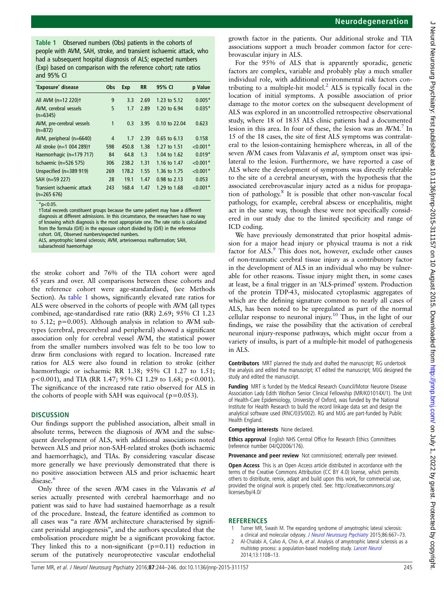<span id="page-1-0"></span>Table 1 Observed numbers (Obs) patients in the cohorts of people with AVM, SAH, stroke, and transient ischaemic attack, who had a subsequent hospital diagnosis of ALS; expected numbers (Exp) based on comparison with the reference cohort; rate ratios and 95% CI

| 'Exposure' disease                          | Obs | Exp   | <b>RR</b> | 95% CI         | p Value    |
|---------------------------------------------|-----|-------|-----------|----------------|------------|
| All AVM $(n=12 220)$ t                      | 9   | 3.3   | 2.69      | 1.23 to 5.12   | $0.005*$   |
| AVM, cerebral vessels<br>$(n=6345)$         | 5   | 1.7   | 2.89      | 1.20 to 6.94   | $0.035*$   |
| AVM, pre-cerebral vessels<br>$(n=872)$      | 1   | 0.3   | 3.95      | 0.10 to 22.04  | 0.623      |
| AVM, peripheral $(n=6640)$                  | 4   | 1.7   | 2.39      | $0.65$ to 6.13 | 0.158      |
| All stroke (n=1 004 289) <sup>+</sup>       | 598 | 450.8 | 1.38      | 1.27 to 1.51   | $< 0.001*$ |
| Haemorrhagic (n=179 717)                    | 84  | 64.8  | 1.3       | 1.04 to 1.62   | $0.019*$   |
| Ischaemic (n=526 575)                       | 306 | 238.2 | 1.31      | 1.16 to 1.47   | $< 0.001*$ |
| Unspecified (n=389 919)                     | 269 | 178.2 | 1.55      | 1.36 to 1.75   | $< 0.001*$ |
| SAH (n=59 227)                              | 28  | 19.1  | 1.47      | 0.98 to 2.13   | 0.053      |
| Transient ischaemic attack<br>$(n=265 676)$ | 243 | 168.4 | 1.47      | 1.29 to 1.68   | $< 0.001*$ |

 $*_{p<0.05}$ .

†Total exceeds constituent groups because the same patient may have a different diagnosis at different admissions. In this circumstance, the researchers have no way of knowing which diagnosis is the most appropriate one. The rate ratio is calculated from the formula (O/E) in the exposure cohort divided by (O/E) in the reference cohort. O/E, Observed numbers/expected numbers.

ALS, amyotrophic lateral sclerosis; AVM, arteriovenous malformation; SAH, subarachnoid haemorrhage

the stroke cohort and 76% of the TIA cohort were aged 65 years and over. All comparisons between these cohorts and the reference cohort were age-standardised, (see Methods Section). As table 1 shows, significantly elevated rate ratios for ALS were observed in the cohorts of people with AVM (all types combined, age-standardised rate ratio (RR) 2.69; 95% CI 1.23 to 5.12; p=0.005). Although analysis in relation to AVM subtypes (cerebral, precerebral and peripheral) showed a significant association only for cerebral vessel AVM, the statistical power from the smaller numbers involved was felt to be too low to draw firm conclusions with regard to location. Increased rate ratios for ALS were also found in relation to stroke (either haemorrhagic or ischaemic RR 1.38; 95% CI 1.27 to 1.51; p<0.001), and TIA (RR 1.47; 95% CI 1.29 to 1.68; p<0.001). The significance of the increased rate ratio observed for ALS in the cohorts of people with SAH was equivocal ( $p=0.053$ ).

#### **DISCUSSION**

Our findings support the published association, albeit small in absolute terms, between the diagnosis of AVM and the subsequent development of ALS, with additional associations noted between ALS and prior non-SAH-related strokes (both ischaemic and haemorrhagic), and TIAs. By considering vascular disease more generally we have previously demonstrated that there is no positive association between ALS and prior ischaemic heart disease. $\frac{6}{3}$  $\frac{6}{3}$  $\frac{6}{3}$ 

Only three of the seven AVM cases in the Valavanis et al series actually presented with cerebral haemorrhage and no patient was said to have had sustained haemorrhage as a result of the procedure. Instead, the feature identified as common to all cases was "a rare AVM architecture characterised by significant perinidal angiogenesis", and the authors speculated that the embolisation procedure might be a significant provoking factor. They linked this to a non-significant  $(p=0.11)$  reduction in serum of the putatively neuroprotective vascular endothelial

growth factor in the patients. Our additional stroke and TIA associations support a much broader common factor for cerebrovascular injury in ALS.

For the 95% of ALS that is apparently sporadic, genetic factors are complex, variable and probably play a much smaller individual role, with additional environmental risk factors contributing to a multiple-hit model. $<sup>2</sup>$  ALS is typically focal in the</sup> location of initial symptoms. A possible association of prior damage to the motor cortex on the subsequent development of ALS was explored in an uncontrolled retrospective observational study, where 18 of 1835 ALS clinic patients had a documented lesion in this area. In four of these, the lesion was an  $AVM$ .<sup>7</sup> In 15 of the 18 cases, the site of first ALS symptoms was contralateral to the lesion-containing hemisphere whereas, in all of the seven AVM cases from Valavanis et al, symptom onset was ipsilateral to the lesion. Furthermore, we have reported a case of ALS where the development of symptoms was directly referable to the site of a cerebral aneurysm, with the hypothesis that the associated cerebrovascular injury acted as a nidus for propagation of pathology.[8](#page-2-0) It is possible that other non-vascular focal pathology, for example, cerebral abscess or encephalitis, might act in the same way, though these were not specifically considered in our study due to the limited specificity and range of ICD coding.

We have previously demonstrated that prior hospital admission for a major head injury or physical trauma is not a risk factor for ALS.<sup>9</sup> This does not, however, exclude other causes of non-traumatic cerebral tissue injury as a contributory factor in the development of ALS in an individual who may be vulnerable for other reasons. Tissue injury might then, in some cases at least, be a final trigger in an 'ALS-primed' system. Production of the protein TDP-43, mislocated cytoplasmic aggregates of which are the defining signature common to nearly all cases of ALS, has been noted to be upregulated as part of the normal cellular response to neuronal injury.<sup>[10](#page-2-0)</sup> Thus, in the light of our findings, we raise the possibility that the activation of cerebral neuronal injury-response pathways, which might occur from a variety of insults, is part of a multiple-hit model of pathogenesis in ALS.

Contributors MRT planned the study and drafted the manuscript; RG undertook the analysis and edited the manuscript; KT edited the manuscript; MJG designed the study and edited the manuscript.

Funding MRT is funded by the Medical Research Council/Motor Neurone Disease Association Lady Edith Wolfson Senior Clinical Fellowship (MR/K01014X/1). The Unit of Health-Care Epidemiology, University of Oxford, was funded by the National Institute for Health Research to build the record linkage data set and design the analytical software used (RNC/035/002). RG and MJG are part-funded by Public Health England.

Competing interests None declared.

Ethics approval English NHS Central Office for Research Ethics Committees (reference number 04/Q2006/176).

Provenance and peer review Not commissioned; externally peer reviewed.

Open Access This is an Open Access article distributed in accordance with the terms of the Creative Commons Attribution (CC BY 4.0) license, which permits others to distribute, remix, adapt and build upon this work, for commercial use, provided the original work is properly cited. See: [http://creativecommons.org/](http://creativecommons.org/licenses/by/4.0/) [licenses/by/4.0/](http://creativecommons.org/licenses/by/4.0/)

#### **REFERENCES**

- Turner MR, Swash M. The expanding syndrome of amyotrophic lateral sclerosis: a clinical and molecular odyssey. [J Neurol Neurosurg Psychiatry](http://dx.doi.org/10.1136/jnnp-2014-308946) 2015;86:667-73.
- Al-Chalabi A, Calvo A, Chio A, et al. Analysis of amyotrophic lateral sclerosis as a multistep process: a population-based modelling study. [Lancet Neurol](http://dx.doi.org/10.1016/S1474-4422(14)70219-4) 2014;13:1108–13.